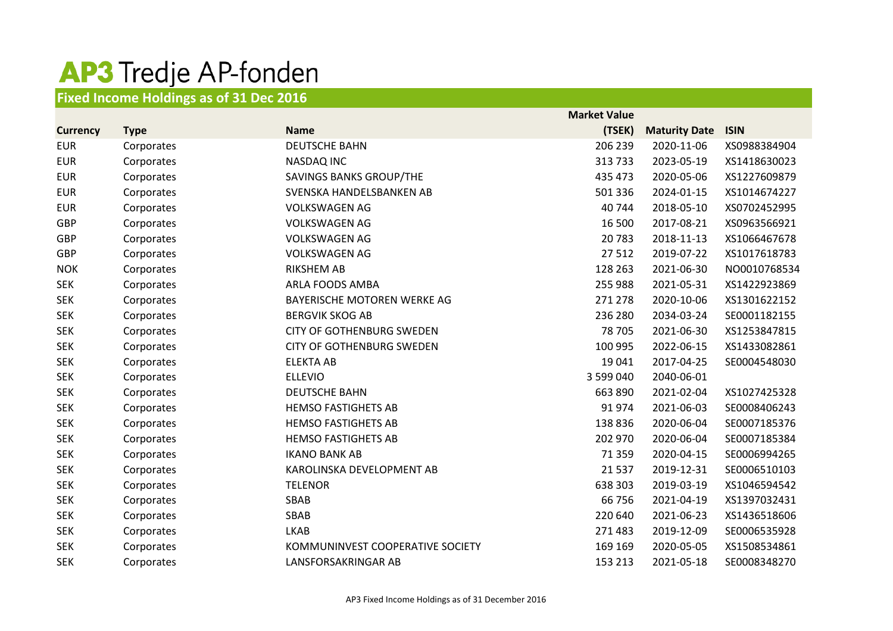## AP3 Tredje AP-fonden

## **Fixed Income Holdings as of 31 Dec 2016**

|                 |             |                                  | <b>Market Value</b> |                      |              |
|-----------------|-------------|----------------------------------|---------------------|----------------------|--------------|
| <b>Currency</b> | <b>Type</b> | <b>Name</b>                      | (TSEK)              | <b>Maturity Date</b> | <b>ISIN</b>  |
| <b>EUR</b>      | Corporates  | <b>DEUTSCHE BAHN</b>             | 206 239             | 2020-11-06           | XS0988384904 |
| <b>EUR</b>      | Corporates  | <b>NASDAQ INC</b>                | 313 733             | 2023-05-19           | XS1418630023 |
| <b>EUR</b>      | Corporates  | SAVINGS BANKS GROUP/THE          | 435 473             | 2020-05-06           | XS1227609879 |
| <b>EUR</b>      | Corporates  | SVENSKA HANDELSBANKEN AB         | 501 336             | 2024-01-15           | XS1014674227 |
| <b>EUR</b>      | Corporates  | <b>VOLKSWAGEN AG</b>             | 40 744              | 2018-05-10           | XS0702452995 |
| <b>GBP</b>      | Corporates  | <b>VOLKSWAGEN AG</b>             | 16 500              | 2017-08-21           | XS0963566921 |
| GBP             | Corporates  | <b>VOLKSWAGEN AG</b>             | 20783               | 2018-11-13           | XS1066467678 |
| GBP             | Corporates  | <b>VOLKSWAGEN AG</b>             | 27512               | 2019-07-22           | XS1017618783 |
| <b>NOK</b>      | Corporates  | <b>RIKSHEM AB</b>                | 128 263             | 2021-06-30           | NO0010768534 |
| <b>SEK</b>      | Corporates  | ARLA FOODS AMBA                  | 255 988             | 2021-05-31           | XS1422923869 |
| <b>SEK</b>      | Corporates  | BAYERISCHE MOTOREN WERKE AG      | 271 278             | 2020-10-06           | XS1301622152 |
| <b>SEK</b>      | Corporates  | <b>BERGVIK SKOG AB</b>           | 236 280             | 2034-03-24           | SE0001182155 |
| <b>SEK</b>      | Corporates  | <b>CITY OF GOTHENBURG SWEDEN</b> | 78 705              | 2021-06-30           | XS1253847815 |
| <b>SEK</b>      | Corporates  | <b>CITY OF GOTHENBURG SWEDEN</b> | 100 995             | 2022-06-15           | XS1433082861 |
| <b>SEK</b>      | Corporates  | <b>ELEKTA AB</b>                 | 19 041              | 2017-04-25           | SE0004548030 |
| <b>SEK</b>      | Corporates  | <b>ELLEVIO</b>                   | 3 599 040           | 2040-06-01           |              |
| <b>SEK</b>      | Corporates  | <b>DEUTSCHE BAHN</b>             | 663 890             | 2021-02-04           | XS1027425328 |
| <b>SEK</b>      | Corporates  | <b>HEMSO FASTIGHETS AB</b>       | 91974               | 2021-06-03           | SE0008406243 |
| <b>SEK</b>      | Corporates  | <b>HEMSO FASTIGHETS AB</b>       | 138 836             | 2020-06-04           | SE0007185376 |
| <b>SEK</b>      | Corporates  | <b>HEMSO FASTIGHETS AB</b>       | 202 970             | 2020-06-04           | SE0007185384 |
| <b>SEK</b>      | Corporates  | <b>IKANO BANK AB</b>             | 71 359              | 2020-04-15           | SE0006994265 |
| <b>SEK</b>      | Corporates  | KAROLINSKA DEVELOPMENT AB        | 21 5 37             | 2019-12-31           | SE0006510103 |
| <b>SEK</b>      | Corporates  | <b>TELENOR</b>                   | 638 303             | 2019-03-19           | XS1046594542 |
| <b>SEK</b>      | Corporates  | SBAB                             | 66 756              | 2021-04-19           | XS1397032431 |
| <b>SEK</b>      | Corporates  | SBAB                             | 220 640             | 2021-06-23           | XS1436518606 |
| <b>SEK</b>      | Corporates  | <b>LKAB</b>                      | 271 483             | 2019-12-09           | SE0006535928 |
| <b>SEK</b>      | Corporates  | KOMMUNINVEST COOPERATIVE SOCIETY | 169 169             | 2020-05-05           | XS1508534861 |
| <b>SEK</b>      | Corporates  | LANSFORSAKRINGAR AB              | 153 213             | 2021-05-18           | SE0008348270 |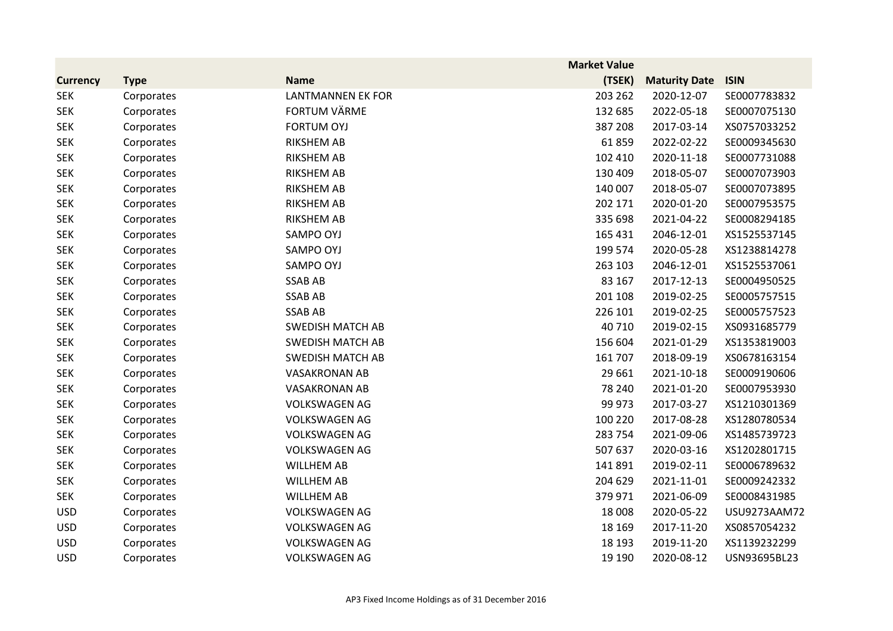|                 |             |                          | <b>Market Value</b> |                      |              |
|-----------------|-------------|--------------------------|---------------------|----------------------|--------------|
| <b>Currency</b> | <b>Type</b> | <b>Name</b>              | (TSEK)              | <b>Maturity Date</b> | <b>ISIN</b>  |
| <b>SEK</b>      | Corporates  | <b>LANTMANNEN EK FOR</b> | 203 262             | 2020-12-07           | SE0007783832 |
| <b>SEK</b>      | Corporates  | <b>FORTUM VÄRME</b>      | 132 685             | 2022-05-18           | SE0007075130 |
| <b>SEK</b>      | Corporates  | <b>FORTUM OYJ</b>        | 387 208             | 2017-03-14           | XS0757033252 |
| <b>SEK</b>      | Corporates  | <b>RIKSHEM AB</b>        | 61859               | 2022-02-22           | SE0009345630 |
| <b>SEK</b>      | Corporates  | <b>RIKSHEM AB</b>        | 102 410             | 2020-11-18           | SE0007731088 |
| <b>SEK</b>      | Corporates  | <b>RIKSHEM AB</b>        | 130 409             | 2018-05-07           | SE0007073903 |
| <b>SEK</b>      | Corporates  | <b>RIKSHEM AB</b>        | 140 007             | 2018-05-07           | SE0007073895 |
| <b>SEK</b>      | Corporates  | <b>RIKSHEM AB</b>        | 202 171             | 2020-01-20           | SE0007953575 |
| <b>SEK</b>      | Corporates  | <b>RIKSHEM AB</b>        | 335 698             | 2021-04-22           | SE0008294185 |
| <b>SEK</b>      | Corporates  | SAMPO OYJ                | 165 431             | 2046-12-01           | XS1525537145 |
| <b>SEK</b>      | Corporates  | SAMPO OYJ                | 199 574             | 2020-05-28           | XS1238814278 |
| <b>SEK</b>      | Corporates  | SAMPO OYJ                | 263 103             | 2046-12-01           | XS1525537061 |
| <b>SEK</b>      | Corporates  | <b>SSAB AB</b>           | 83 167              | 2017-12-13           | SE0004950525 |
| <b>SEK</b>      | Corporates  | <b>SSAB AB</b>           | 201 108             | 2019-02-25           | SE0005757515 |
| <b>SEK</b>      | Corporates  | <b>SSAB AB</b>           | 226 101             | 2019-02-25           | SE0005757523 |
| <b>SEK</b>      | Corporates  | <b>SWEDISH MATCH AB</b>  | 40 710              | 2019-02-15           | XS0931685779 |
| <b>SEK</b>      | Corporates  | <b>SWEDISH MATCH AB</b>  | 156 604             | 2021-01-29           | XS1353819003 |
| <b>SEK</b>      | Corporates  | <b>SWEDISH MATCH AB</b>  | 161 707             | 2018-09-19           | XS0678163154 |
| <b>SEK</b>      | Corporates  | <b>VASAKRONAN AB</b>     | 29 661              | 2021-10-18           | SE0009190606 |
| <b>SEK</b>      | Corporates  | <b>VASAKRONAN AB</b>     | 78 240              | 2021-01-20           | SE0007953930 |
| <b>SEK</b>      | Corporates  | <b>VOLKSWAGEN AG</b>     | 99 973              | 2017-03-27           | XS1210301369 |
| <b>SEK</b>      | Corporates  | <b>VOLKSWAGEN AG</b>     | 100 220             | 2017-08-28           | XS1280780534 |
| <b>SEK</b>      | Corporates  | <b>VOLKSWAGEN AG</b>     | 283 754             | 2021-09-06           | XS1485739723 |
| <b>SEK</b>      | Corporates  | <b>VOLKSWAGEN AG</b>     | 507 637             | 2020-03-16           | XS1202801715 |
| <b>SEK</b>      | Corporates  | <b>WILLHEM AB</b>        | 141 891             | 2019-02-11           | SE0006789632 |
| <b>SEK</b>      | Corporates  | <b>WILLHEM AB</b>        | 204 629             | 2021-11-01           | SE0009242332 |
| <b>SEK</b>      | Corporates  | <b>WILLHEM AB</b>        | 379 971             | 2021-06-09           | SE0008431985 |
| <b>USD</b>      | Corporates  | <b>VOLKSWAGEN AG</b>     | 18 008              | 2020-05-22           | USU9273AAM72 |
| <b>USD</b>      | Corporates  | <b>VOLKSWAGEN AG</b>     | 18 169              | 2017-11-20           | XS0857054232 |
| <b>USD</b>      | Corporates  | <b>VOLKSWAGEN AG</b>     | 18 193              | 2019-11-20           | XS1139232299 |
| <b>USD</b>      | Corporates  | <b>VOLKSWAGEN AG</b>     | 19 190              | 2020-08-12           | USN93695BL23 |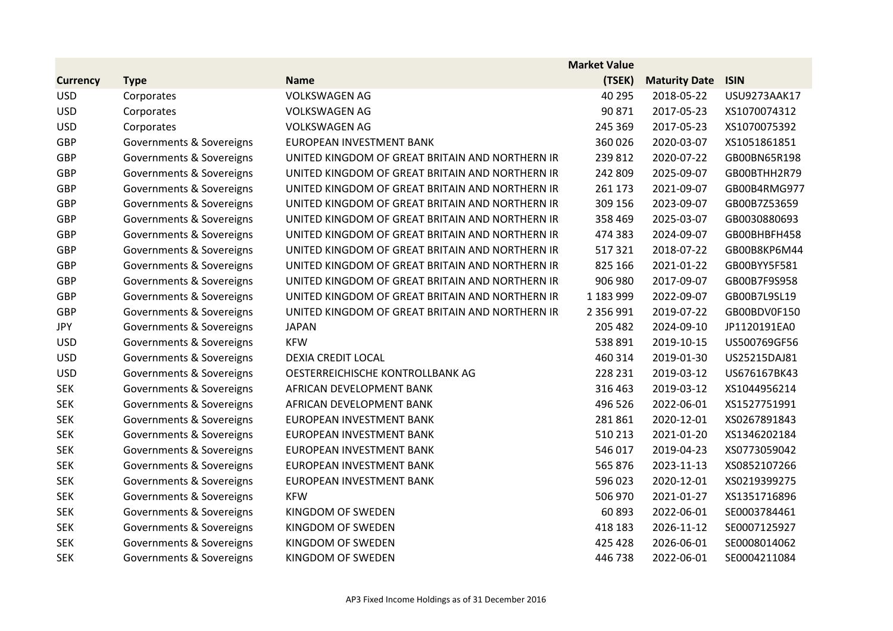|                 |                          |                                                 | <b>Market Value</b> |                      |              |
|-----------------|--------------------------|-------------------------------------------------|---------------------|----------------------|--------------|
| <b>Currency</b> | <b>Type</b>              | <b>Name</b>                                     | (TSEK)              | <b>Maturity Date</b> | <b>ISIN</b>  |
| <b>USD</b>      | Corporates               | <b>VOLKSWAGEN AG</b>                            | 40 295              | 2018-05-22           | USU9273AAK17 |
| <b>USD</b>      | Corporates               | <b>VOLKSWAGEN AG</b>                            | 90 871              | 2017-05-23           | XS1070074312 |
| <b>USD</b>      | Corporates               | <b>VOLKSWAGEN AG</b>                            | 245 369             | 2017-05-23           | XS1070075392 |
| GBP             | Governments & Sovereigns | EUROPEAN INVESTMENT BANK                        | 360 026             | 2020-03-07           | XS1051861851 |
| <b>GBP</b>      | Governments & Sovereigns | UNITED KINGDOM OF GREAT BRITAIN AND NORTHERN IR | 239 812             | 2020-07-22           | GB00BN65R198 |
| <b>GBP</b>      | Governments & Sovereigns | UNITED KINGDOM OF GREAT BRITAIN AND NORTHERN IR | 242 809             | 2025-09-07           | GB00BTHH2R79 |
| <b>GBP</b>      | Governments & Sovereigns | UNITED KINGDOM OF GREAT BRITAIN AND NORTHERN IR | 261 173             | 2021-09-07           | GB00B4RMG977 |
| <b>GBP</b>      | Governments & Sovereigns | UNITED KINGDOM OF GREAT BRITAIN AND NORTHERN IR | 309 156             | 2023-09-07           | GB00B7Z53659 |
| GBP             | Governments & Sovereigns | UNITED KINGDOM OF GREAT BRITAIN AND NORTHERN IR | 358 469             | 2025-03-07           | GB0030880693 |
| <b>GBP</b>      | Governments & Sovereigns | UNITED KINGDOM OF GREAT BRITAIN AND NORTHERN IR | 474 383             | 2024-09-07           | GB00BHBFH458 |
| GBP             | Governments & Sovereigns | UNITED KINGDOM OF GREAT BRITAIN AND NORTHERN IR | 517321              | 2018-07-22           | GB00B8KP6M44 |
| <b>GBP</b>      | Governments & Sovereigns | UNITED KINGDOM OF GREAT BRITAIN AND NORTHERN IR | 825 166             | 2021-01-22           | GB00BYY5F581 |
| <b>GBP</b>      | Governments & Sovereigns | UNITED KINGDOM OF GREAT BRITAIN AND NORTHERN IR | 906 980             | 2017-09-07           | GB00B7F9S958 |
| <b>GBP</b>      | Governments & Sovereigns | UNITED KINGDOM OF GREAT BRITAIN AND NORTHERN IR | 1 183 999           | 2022-09-07           | GB00B7L9SL19 |
| GBP             | Governments & Sovereigns | UNITED KINGDOM OF GREAT BRITAIN AND NORTHERN IR | 2 356 991           | 2019-07-22           | GB00BDV0F150 |
| <b>JPY</b>      | Governments & Sovereigns | <b>JAPAN</b>                                    | 205 482             | 2024-09-10           | JP1120191EA0 |
| <b>USD</b>      | Governments & Sovereigns | <b>KFW</b>                                      | 538 891             | 2019-10-15           | US500769GF56 |
| <b>USD</b>      | Governments & Sovereigns | DEXIA CREDIT LOCAL                              | 460 314             | 2019-01-30           | US25215DAJ81 |
| <b>USD</b>      | Governments & Sovereigns | OESTERREICHISCHE KONTROLLBANK AG                | 228 231             | 2019-03-12           | US676167BK43 |
| <b>SEK</b>      | Governments & Sovereigns | AFRICAN DEVELOPMENT BANK                        | 316 463             | 2019-03-12           | XS1044956214 |
| <b>SEK</b>      | Governments & Sovereigns | AFRICAN DEVELOPMENT BANK                        | 496 526             | 2022-06-01           | XS1527751991 |
| <b>SEK</b>      | Governments & Sovereigns | EUROPEAN INVESTMENT BANK                        | 281861              | 2020-12-01           | XS0267891843 |
| <b>SEK</b>      | Governments & Sovereigns | EUROPEAN INVESTMENT BANK                        | 510 213             | 2021-01-20           | XS1346202184 |
| <b>SEK</b>      | Governments & Sovereigns | EUROPEAN INVESTMENT BANK                        | 546 017             | 2019-04-23           | XS0773059042 |
| <b>SEK</b>      | Governments & Sovereigns | EUROPEAN INVESTMENT BANK                        | 565 876             | 2023-11-13           | XS0852107266 |
| <b>SEK</b>      | Governments & Sovereigns | EUROPEAN INVESTMENT BANK                        | 596 023             | 2020-12-01           | XS0219399275 |
| <b>SEK</b>      | Governments & Sovereigns | <b>KFW</b>                                      | 506 970             | 2021-01-27           | XS1351716896 |
| <b>SEK</b>      | Governments & Sovereigns | KINGDOM OF SWEDEN                               | 60893               | 2022-06-01           | SE0003784461 |
| <b>SEK</b>      | Governments & Sovereigns | KINGDOM OF SWEDEN                               | 418 183             | 2026-11-12           | SE0007125927 |
| <b>SEK</b>      | Governments & Sovereigns | KINGDOM OF SWEDEN                               | 425 428             | 2026-06-01           | SE0008014062 |
| <b>SEK</b>      | Governments & Sovereigns | KINGDOM OF SWEDEN                               | 446738              | 2022-06-01           | SE0004211084 |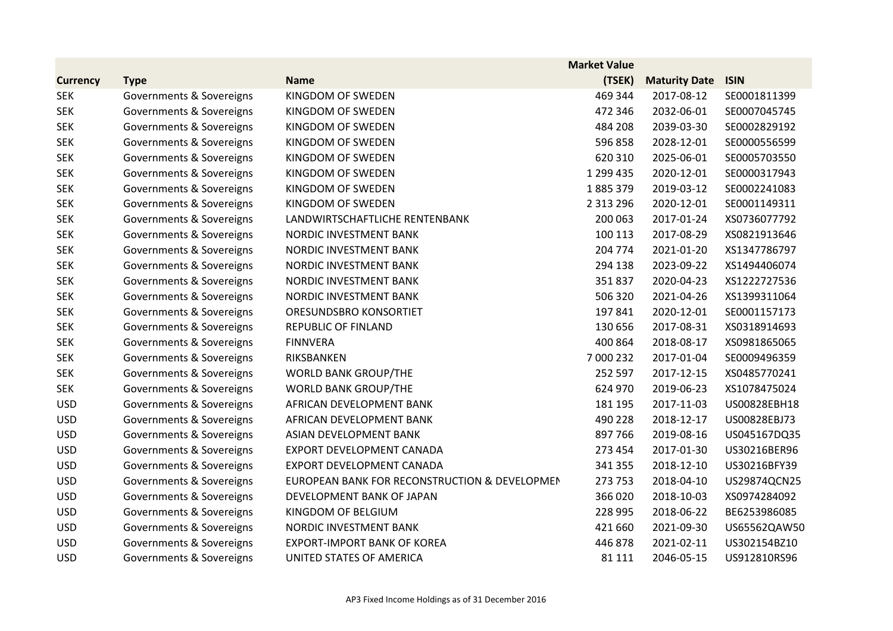|                 |                          |                                               | <b>Market Value</b> |                      |              |
|-----------------|--------------------------|-----------------------------------------------|---------------------|----------------------|--------------|
| <b>Currency</b> | <b>Type</b>              | <b>Name</b>                                   | (TSEK)              | <b>Maturity Date</b> | <b>ISIN</b>  |
| <b>SEK</b>      | Governments & Sovereigns | KINGDOM OF SWEDEN                             | 469 344             | 2017-08-12           | SE0001811399 |
| <b>SEK</b>      | Governments & Sovereigns | KINGDOM OF SWEDEN                             | 472 346             | 2032-06-01           | SE0007045745 |
| <b>SEK</b>      | Governments & Sovereigns | KINGDOM OF SWEDEN                             | 484 208             | 2039-03-30           | SE0002829192 |
| <b>SEK</b>      | Governments & Sovereigns | KINGDOM OF SWEDEN                             | 596 858             | 2028-12-01           | SE0000556599 |
| <b>SEK</b>      | Governments & Sovereigns | KINGDOM OF SWEDEN                             | 620 310             | 2025-06-01           | SE0005703550 |
| <b>SEK</b>      | Governments & Sovereigns | KINGDOM OF SWEDEN                             | 1 299 435           | 2020-12-01           | SE0000317943 |
| <b>SEK</b>      | Governments & Sovereigns | KINGDOM OF SWEDEN                             | 1885379             | 2019-03-12           | SE0002241083 |
| <b>SEK</b>      | Governments & Sovereigns | KINGDOM OF SWEDEN                             | 2 3 1 3 2 9 6       | 2020-12-01           | SE0001149311 |
| <b>SEK</b>      | Governments & Sovereigns | LANDWIRTSCHAFTLICHE RENTENBANK                | 200 063             | 2017-01-24           | XS0736077792 |
| <b>SEK</b>      | Governments & Sovereigns | NORDIC INVESTMENT BANK                        | 100 113             | 2017-08-29           | XS0821913646 |
| <b>SEK</b>      | Governments & Sovereigns | NORDIC INVESTMENT BANK                        | 204 774             | 2021-01-20           | XS1347786797 |
| <b>SEK</b>      | Governments & Sovereigns | NORDIC INVESTMENT BANK                        | 294 138             | 2023-09-22           | XS1494406074 |
| <b>SEK</b>      | Governments & Sovereigns | NORDIC INVESTMENT BANK                        | 351837              | 2020-04-23           | XS1222727536 |
| <b>SEK</b>      | Governments & Sovereigns | NORDIC INVESTMENT BANK                        | 506 320             | 2021-04-26           | XS1399311064 |
| <b>SEK</b>      | Governments & Sovereigns | ORESUNDSBRO KONSORTIET                        | 197 841             | 2020-12-01           | SE0001157173 |
| <b>SEK</b>      | Governments & Sovereigns | <b>REPUBLIC OF FINLAND</b>                    | 130 656             | 2017-08-31           | XS0318914693 |
| <b>SEK</b>      | Governments & Sovereigns | <b>FINNVERA</b>                               | 400 864             | 2018-08-17           | XS0981865065 |
| <b>SEK</b>      | Governments & Sovereigns | RIKSBANKEN                                    | 7 000 232           | 2017-01-04           | SE0009496359 |
| <b>SEK</b>      | Governments & Sovereigns | <b>WORLD BANK GROUP/THE</b>                   | 252 597             | 2017-12-15           | XS0485770241 |
| <b>SEK</b>      | Governments & Sovereigns | <b>WORLD BANK GROUP/THE</b>                   | 624 970             | 2019-06-23           | XS1078475024 |
| <b>USD</b>      | Governments & Sovereigns | AFRICAN DEVELOPMENT BANK                      | 181 195             | 2017-11-03           | US00828EBH18 |
| <b>USD</b>      | Governments & Sovereigns | AFRICAN DEVELOPMENT BANK                      | 490 228             | 2018-12-17           | US00828EBJ73 |
| <b>USD</b>      | Governments & Sovereigns | ASIAN DEVELOPMENT BANK                        | 897 766             | 2019-08-16           | US045167DQ35 |
| <b>USD</b>      | Governments & Sovereigns | EXPORT DEVELOPMENT CANADA                     | 273 454             | 2017-01-30           | US30216BER96 |
| <b>USD</b>      | Governments & Sovereigns | EXPORT DEVELOPMENT CANADA                     | 341 355             | 2018-12-10           | US30216BFY39 |
| <b>USD</b>      | Governments & Sovereigns | EUROPEAN BANK FOR RECONSTRUCTION & DEVELOPMEN | 273 753             | 2018-04-10           | US29874QCN25 |
| <b>USD</b>      | Governments & Sovereigns | DEVELOPMENT BANK OF JAPAN                     | 366 020             | 2018-10-03           | XS0974284092 |
| <b>USD</b>      | Governments & Sovereigns | KINGDOM OF BELGIUM                            | 228 995             | 2018-06-22           | BE6253986085 |
| <b>USD</b>      | Governments & Sovereigns | NORDIC INVESTMENT BANK                        | 421 660             | 2021-09-30           | US65562QAW50 |
| <b>USD</b>      | Governments & Sovereigns | <b>EXPORT-IMPORT BANK OF KOREA</b>            | 446 878             | 2021-02-11           | US302154BZ10 |
| <b>USD</b>      | Governments & Sovereigns | UNITED STATES OF AMERICA                      | 81 111              | 2046-05-15           | US912810RS96 |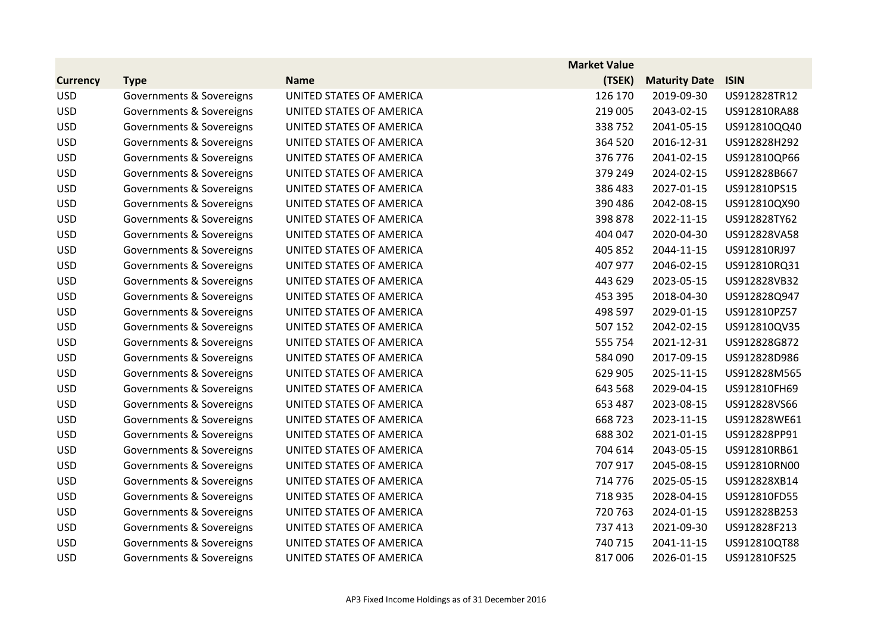|                 |                          |                          | <b>Market Value</b> |                      |              |
|-----------------|--------------------------|--------------------------|---------------------|----------------------|--------------|
| <b>Currency</b> | <b>Type</b>              | <b>Name</b>              | (TSEK)              | <b>Maturity Date</b> | <b>ISIN</b>  |
| <b>USD</b>      | Governments & Sovereigns | UNITED STATES OF AMERICA | 126 170             | 2019-09-30           | US912828TR12 |
| <b>USD</b>      | Governments & Sovereigns | UNITED STATES OF AMERICA | 219 005             | 2043-02-15           | US912810RA88 |
| <b>USD</b>      | Governments & Sovereigns | UNITED STATES OF AMERICA | 338752              | 2041-05-15           | US912810QQ40 |
| <b>USD</b>      | Governments & Sovereigns | UNITED STATES OF AMERICA | 364 520             | 2016-12-31           | US912828H292 |
| <b>USD</b>      | Governments & Sovereigns | UNITED STATES OF AMERICA | 376 776             | 2041-02-15           | US912810QP66 |
| <b>USD</b>      | Governments & Sovereigns | UNITED STATES OF AMERICA | 379 249             | 2024-02-15           | US912828B667 |
| <b>USD</b>      | Governments & Sovereigns | UNITED STATES OF AMERICA | 386 483             | 2027-01-15           | US912810PS15 |
| <b>USD</b>      | Governments & Sovereigns | UNITED STATES OF AMERICA | 390 486             | 2042-08-15           | US912810QX90 |
| <b>USD</b>      | Governments & Sovereigns | UNITED STATES OF AMERICA | 398 878             | 2022-11-15           | US912828TY62 |
| <b>USD</b>      | Governments & Sovereigns | UNITED STATES OF AMERICA | 404 047             | 2020-04-30           | US912828VA58 |
| <b>USD</b>      | Governments & Sovereigns | UNITED STATES OF AMERICA | 405 852             | 2044-11-15           | US912810RJ97 |
| <b>USD</b>      | Governments & Sovereigns | UNITED STATES OF AMERICA | 407 977             | 2046-02-15           | US912810RQ31 |
| <b>USD</b>      | Governments & Sovereigns | UNITED STATES OF AMERICA | 443 629             | 2023-05-15           | US912828VB32 |
| <b>USD</b>      | Governments & Sovereigns | UNITED STATES OF AMERICA | 453 395             | 2018-04-30           | US912828Q947 |
| <b>USD</b>      | Governments & Sovereigns | UNITED STATES OF AMERICA | 498 597             | 2029-01-15           | US912810PZ57 |
| <b>USD</b>      | Governments & Sovereigns | UNITED STATES OF AMERICA | 507 152             | 2042-02-15           | US912810QV35 |
| <b>USD</b>      | Governments & Sovereigns | UNITED STATES OF AMERICA | 555 754             | 2021-12-31           | US912828G872 |
| <b>USD</b>      | Governments & Sovereigns | UNITED STATES OF AMERICA | 584 090             | 2017-09-15           | US912828D986 |
| <b>USD</b>      | Governments & Sovereigns | UNITED STATES OF AMERICA | 629 905             | 2025-11-15           | US912828M565 |
| <b>USD</b>      | Governments & Sovereigns | UNITED STATES OF AMERICA | 643 568             | 2029-04-15           | US912810FH69 |
| <b>USD</b>      | Governments & Sovereigns | UNITED STATES OF AMERICA | 653 487             | 2023-08-15           | US912828VS66 |
| <b>USD</b>      | Governments & Sovereigns | UNITED STATES OF AMERICA | 668723              | 2023-11-15           | US912828WE61 |
| <b>USD</b>      | Governments & Sovereigns | UNITED STATES OF AMERICA | 688 302             | 2021-01-15           | US912828PP91 |
| <b>USD</b>      | Governments & Sovereigns | UNITED STATES OF AMERICA | 704 614             | 2043-05-15           | US912810RB61 |
| <b>USD</b>      | Governments & Sovereigns | UNITED STATES OF AMERICA | 707 917             | 2045-08-15           | US912810RN00 |
| <b>USD</b>      | Governments & Sovereigns | UNITED STATES OF AMERICA | 714 776             | 2025-05-15           | US912828XB14 |
| <b>USD</b>      | Governments & Sovereigns | UNITED STATES OF AMERICA | 718 935             | 2028-04-15           | US912810FD55 |
| <b>USD</b>      | Governments & Sovereigns | UNITED STATES OF AMERICA | 720 763             | 2024-01-15           | US912828B253 |
| <b>USD</b>      | Governments & Sovereigns | UNITED STATES OF AMERICA | 737 413             | 2021-09-30           | US912828F213 |
| <b>USD</b>      | Governments & Sovereigns | UNITED STATES OF AMERICA | 740 715             | 2041-11-15           | US912810QT88 |
| <b>USD</b>      | Governments & Sovereigns | UNITED STATES OF AMERICA | 817006              | 2026-01-15           | US912810FS25 |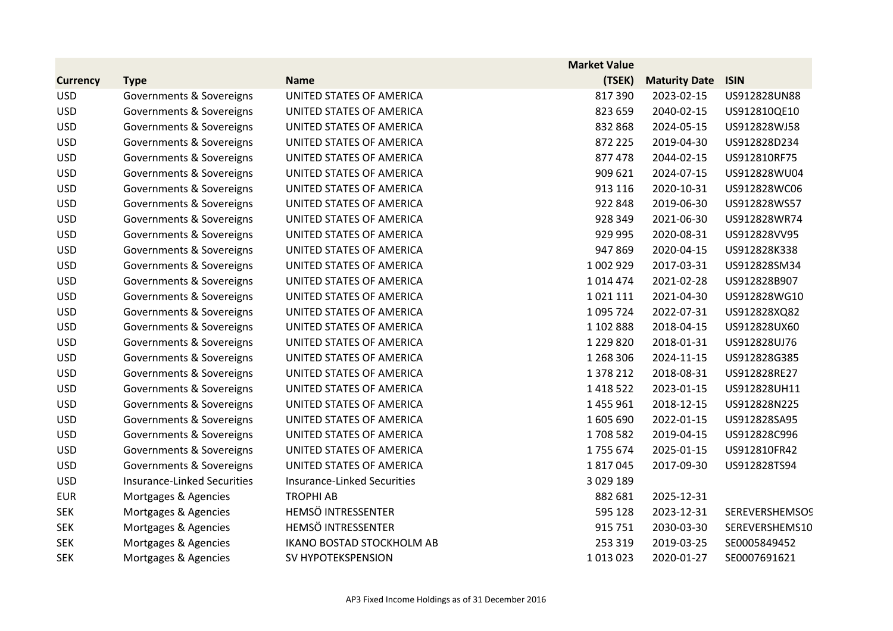|                 |                                    |                                  | <b>Market Value</b> |                      |                       |
|-----------------|------------------------------------|----------------------------------|---------------------|----------------------|-----------------------|
| <b>Currency</b> | <b>Type</b>                        | <b>Name</b>                      | (TSEK)              | <b>Maturity Date</b> | <b>ISIN</b>           |
| <b>USD</b>      | Governments & Sovereigns           | UNITED STATES OF AMERICA         | 817390              | 2023-02-15           | US912828UN88          |
| <b>USD</b>      | Governments & Sovereigns           | UNITED STATES OF AMERICA         | 823 659             | 2040-02-15           | US912810QE10          |
| <b>USD</b>      | Governments & Sovereigns           | UNITED STATES OF AMERICA         | 832 868             | 2024-05-15           | US912828WJ58          |
| <b>USD</b>      | Governments & Sovereigns           | UNITED STATES OF AMERICA         | 872 225             | 2019-04-30           | US912828D234          |
| <b>USD</b>      | Governments & Sovereigns           | UNITED STATES OF AMERICA         | 877 478             | 2044-02-15           | US912810RF75          |
| <b>USD</b>      | Governments & Sovereigns           | UNITED STATES OF AMERICA         | 909 621             | 2024-07-15           | US912828WU04          |
| <b>USD</b>      | Governments & Sovereigns           | UNITED STATES OF AMERICA         | 913 116             | 2020-10-31           | US912828WC06          |
| <b>USD</b>      | Governments & Sovereigns           | UNITED STATES OF AMERICA         | 922 848             | 2019-06-30           | US912828WS57          |
| <b>USD</b>      | Governments & Sovereigns           | UNITED STATES OF AMERICA         | 928 349             | 2021-06-30           | US912828WR74          |
| <b>USD</b>      | Governments & Sovereigns           | UNITED STATES OF AMERICA         | 929 995             | 2020-08-31           | US912828VV95          |
| <b>USD</b>      | Governments & Sovereigns           | UNITED STATES OF AMERICA         | 947 869             | 2020-04-15           | US912828K338          |
| <b>USD</b>      | Governments & Sovereigns           | UNITED STATES OF AMERICA         | 1 002 929           | 2017-03-31           | US912828SM34          |
| <b>USD</b>      | Governments & Sovereigns           | UNITED STATES OF AMERICA         | 1014474             | 2021-02-28           | US912828B907          |
| <b>USD</b>      | Governments & Sovereigns           | UNITED STATES OF AMERICA         | 1021111             | 2021-04-30           | US912828WG10          |
| <b>USD</b>      | Governments & Sovereigns           | UNITED STATES OF AMERICA         | 1 095 724           | 2022-07-31           | US912828XQ82          |
| <b>USD</b>      | Governments & Sovereigns           | UNITED STATES OF AMERICA         | 1 102 888           | 2018-04-15           | US912828UX60          |
| <b>USD</b>      | Governments & Sovereigns           | UNITED STATES OF AMERICA         | 1 2 2 9 8 2 0       | 2018-01-31           | US912828UJ76          |
| <b>USD</b>      | Governments & Sovereigns           | UNITED STATES OF AMERICA         | 1 268 306           | 2024-11-15           | US912828G385          |
| <b>USD</b>      | Governments & Sovereigns           | UNITED STATES OF AMERICA         | 1 378 212           | 2018-08-31           | US912828RE27          |
| <b>USD</b>      | Governments & Sovereigns           | UNITED STATES OF AMERICA         | 1 4 1 8 5 2 2       | 2023-01-15           | US912828UH11          |
| <b>USD</b>      | Governments & Sovereigns           | UNITED STATES OF AMERICA         | 1 455 961           | 2018-12-15           | US912828N225          |
| <b>USD</b>      | Governments & Sovereigns           | UNITED STATES OF AMERICA         | 1 605 690           | 2022-01-15           | US912828SA95          |
| <b>USD</b>      | Governments & Sovereigns           | UNITED STATES OF AMERICA         | 1708582             | 2019-04-15           | US912828C996          |
| <b>USD</b>      | Governments & Sovereigns           | UNITED STATES OF AMERICA         | 1755674             | 2025-01-15           | US912810FR42          |
| <b>USD</b>      | Governments & Sovereigns           | UNITED STATES OF AMERICA         | 1817045             | 2017-09-30           | US912828TS94          |
| <b>USD</b>      | <b>Insurance-Linked Securities</b> | Insurance-Linked Securities      | 3 0 29 1 89         |                      |                       |
| <b>EUR</b>      | Mortgages & Agencies               | <b>TROPHI AB</b>                 | 882 681             | 2025-12-31           |                       |
| <b>SEK</b>      | Mortgages & Agencies               | HEMSÖ INTRESSENTER               | 595 128             | 2023-12-31           | <b>SEREVERSHEMSOS</b> |
| <b>SEK</b>      | Mortgages & Agencies               | HEMSÖ INTRESSENTER               | 915 751             | 2030-03-30           | SEREVERSHEMS10        |
| <b>SEK</b>      | Mortgages & Agencies               | <b>IKANO BOSTAD STOCKHOLM AB</b> | 253 319             | 2019-03-25           | SE0005849452          |
| <b>SEK</b>      | Mortgages & Agencies               | SV HYPOTEKSPENSION               | 1013023             | 2020-01-27           | SE0007691621          |